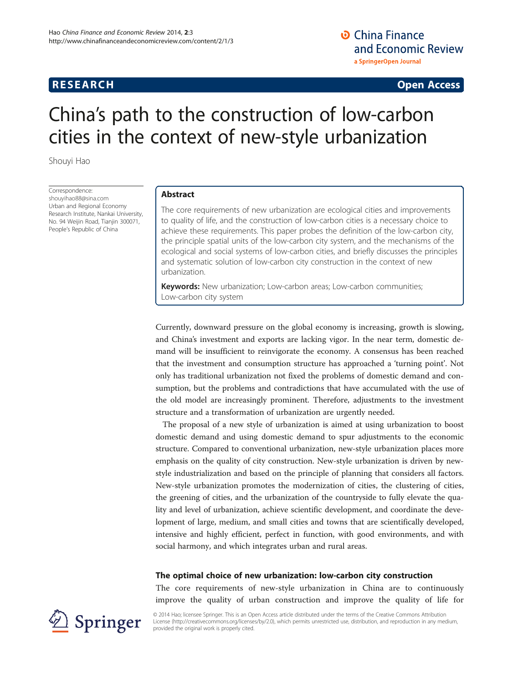# **RESEARCH RESEARCH CONSUMING ACCESS**

# China's path to the construction of low-carbon cities in the context of new-style urbanization

Shouyi Hao

Correspondence: [shouyihao88@sina.com](mailto:shouyihao88@sina.com) Urban and Regional Economy Research Institute, Nankai University, No. 94 Weijin Road, Tianjin 300071, People's Republic of China

# Abstract

The core requirements of new urbanization are ecological cities and improvements to quality of life, and the construction of low-carbon cities is a necessary choice to achieve these requirements. This paper probes the definition of the low-carbon city, the principle spatial units of the low-carbon city system, and the mechanisms of the ecological and social systems of low-carbon cities, and briefly discusses the principles and systematic solution of low-carbon city construction in the context of new urbanization.

Keywords: New urbanization; Low-carbon areas; Low-carbon communities; Low-carbon city system

Currently, downward pressure on the global economy is increasing, growth is slowing, and China's investment and exports are lacking vigor. In the near term, domestic demand will be insufficient to reinvigorate the economy. A consensus has been reached that the investment and consumption structure has approached a 'turning point'. Not only has traditional urbanization not fixed the problems of domestic demand and consumption, but the problems and contradictions that have accumulated with the use of the old model are increasingly prominent. Therefore, adjustments to the investment structure and a transformation of urbanization are urgently needed.

The proposal of a new style of urbanization is aimed at using urbanization to boost domestic demand and using domestic demand to spur adjustments to the economic structure. Compared to conventional urbanization, new-style urbanization places more emphasis on the quality of city construction. New-style urbanization is driven by newstyle industrialization and based on the principle of planning that considers all factors. New-style urbanization promotes the modernization of cities, the clustering of cities, the greening of cities, and the urbanization of the countryside to fully elevate the quality and level of urbanization, achieve scientific development, and coordinate the development of large, medium, and small cities and towns that are scientifically developed, intensive and highly efficient, perfect in function, with good environments, and with social harmony, and which integrates urban and rural areas.

#### The optimal choice of new urbanization: low-carbon city construction

The core requirements of new-style urbanization in China are to continuously improve the quality of urban construction and improve the quality of life for



© 2014 Hao; licensee Springer. This is an Open Access article distributed under the terms of the Creative Commons Attribution License [\(http://creativecommons.org/licenses/by/2.0\)](http://creativecommons.org/licenses/by/2.0), which permits unrestricted use, distribution, and reproduction in any medium, provided the original work is properly cited.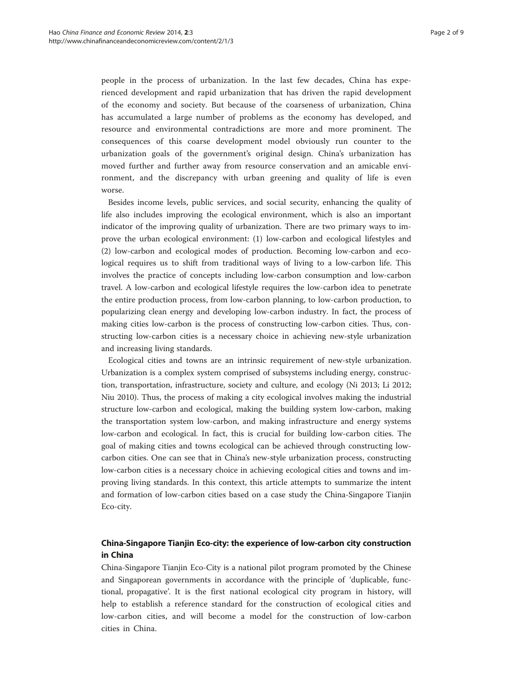people in the process of urbanization. In the last few decades, China has experienced development and rapid urbanization that has driven the rapid development of the economy and society. But because of the coarseness of urbanization, China has accumulated a large number of problems as the economy has developed, and resource and environmental contradictions are more and more prominent. The consequences of this coarse development model obviously run counter to the urbanization goals of the government's original design. China's urbanization has moved further and further away from resource conservation and an amicable environment, and the discrepancy with urban greening and quality of life is even worse.

Besides income levels, public services, and social security, enhancing the quality of life also includes improving the ecological environment, which is also an important indicator of the improving quality of urbanization. There are two primary ways to improve the urban ecological environment: (1) low-carbon and ecological lifestyles and (2) low-carbon and ecological modes of production. Becoming low-carbon and ecological requires us to shift from traditional ways of living to a low-carbon life. This involves the practice of concepts including low-carbon consumption and low-carbon travel. A low-carbon and ecological lifestyle requires the low-carbon idea to penetrate the entire production process, from low-carbon planning, to low-carbon production, to popularizing clean energy and developing low-carbon industry. In fact, the process of making cities low-carbon is the process of constructing low-carbon cities. Thus, constructing low-carbon cities is a necessary choice in achieving new-style urbanization and increasing living standards.

Ecological cities and towns are an intrinsic requirement of new-style urbanization. Urbanization is a complex system comprised of subsystems including energy, construction, transportation, infrastructure, society and culture, and ecology (Ni [2013;](#page-8-0) Li [2012](#page-8-0); Niu [2010\)](#page-8-0). Thus, the process of making a city ecological involves making the industrial structure low-carbon and ecological, making the building system low-carbon, making the transportation system low-carbon, and making infrastructure and energy systems low-carbon and ecological. In fact, this is crucial for building low-carbon cities. The goal of making cities and towns ecological can be achieved through constructing lowcarbon cities. One can see that in China's new-style urbanization process, constructing low-carbon cities is a necessary choice in achieving ecological cities and towns and improving living standards. In this context, this article attempts to summarize the intent and formation of low-carbon cities based on a case study the China-Singapore Tianjin Eco-city.

# China-Singapore Tianjin Eco-city: the experience of low-carbon city construction in China

China-Singapore Tianjin Eco-City is a national pilot program promoted by the Chinese and Singaporean governments in accordance with the principle of 'duplicable, functional, propagative'. It is the first national ecological city program in history, will help to establish a reference standard for the construction of ecological cities and low-carbon cities, and will become a model for the construction of low-carbon cities in China.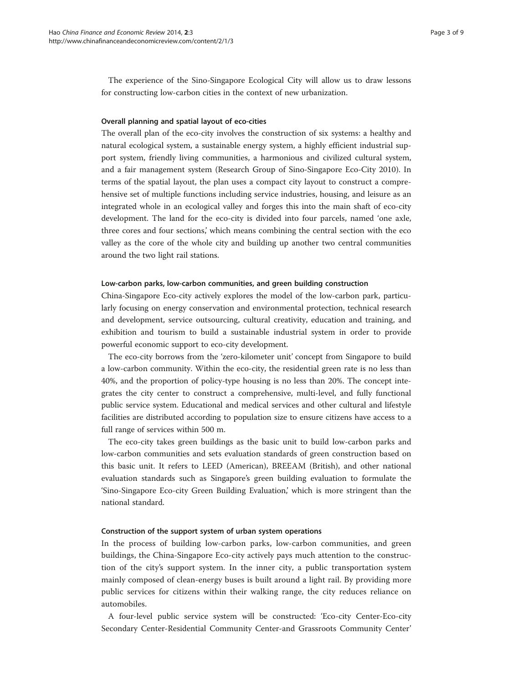The experience of the Sino-Singapore Ecological City will allow us to draw lessons for constructing low-carbon cities in the context of new urbanization.

#### Overall planning and spatial layout of eco-cities

The overall plan of the eco-city involves the construction of six systems: a healthy and natural ecological system, a sustainable energy system, a highly efficient industrial support system, friendly living communities, a harmonious and civilized cultural system, and a fair management system (Research Group of Sino-Singapore Eco-City [2010\)](#page-8-0). In terms of the spatial layout, the plan uses a compact city layout to construct a comprehensive set of multiple functions including service industries, housing, and leisure as an integrated whole in an ecological valley and forges this into the main shaft of eco-city development. The land for the eco-city is divided into four parcels, named 'one axle, three cores and four sections,' which means combining the central section with the eco valley as the core of the whole city and building up another two central communities around the two light rail stations.

#### Low-carbon parks, low-carbon communities, and green building construction

China-Singapore Eco-city actively explores the model of the low-carbon park, particularly focusing on energy conservation and environmental protection, technical research and development, service outsourcing, cultural creativity, education and training, and exhibition and tourism to build a sustainable industrial system in order to provide powerful economic support to eco-city development.

The eco-city borrows from the 'zero-kilometer unit' concept from Singapore to build a low-carbon community. Within the eco-city, the residential green rate is no less than 40%, and the proportion of policy-type housing is no less than 20%. The concept integrates the city center to construct a comprehensive, multi-level, and fully functional public service system. Educational and medical services and other cultural and lifestyle facilities are distributed according to population size to ensure citizens have access to a full range of services within 500 m.

The eco-city takes green buildings as the basic unit to build low-carbon parks and low-carbon communities and sets evaluation standards of green construction based on this basic unit. It refers to LEED (American), BREEAM (British), and other national evaluation standards such as Singapore's green building evaluation to formulate the 'Sino-Singapore Eco-city Green Building Evaluation,' which is more stringent than the national standard.

#### Construction of the support system of urban system operations

In the process of building low-carbon parks, low-carbon communities, and green buildings, the China-Singapore Eco-city actively pays much attention to the construction of the city's support system. In the inner city, a public transportation system mainly composed of clean-energy buses is built around a light rail. By providing more public services for citizens within their walking range, the city reduces reliance on automobiles.

A four-level public service system will be constructed: 'Eco-city Center-Eco-city Secondary Center-Residential Community Center-and Grassroots Community Center'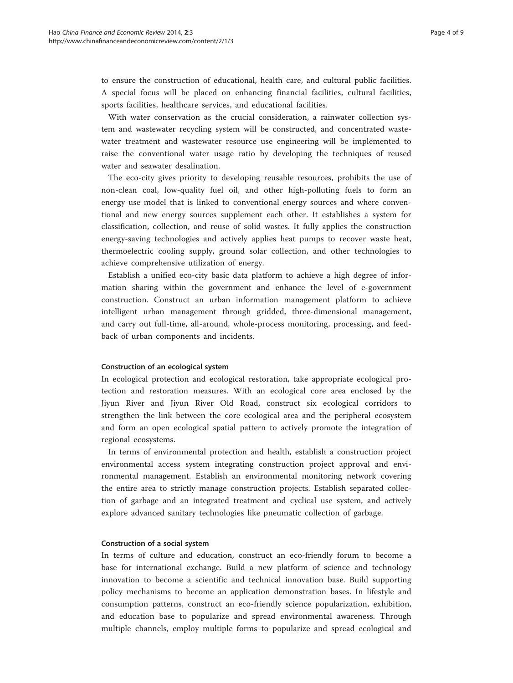to ensure the construction of educational, health care, and cultural public facilities. A special focus will be placed on enhancing financial facilities, cultural facilities, sports facilities, healthcare services, and educational facilities.

With water conservation as the crucial consideration, a rainwater collection system and wastewater recycling system will be constructed, and concentrated wastewater treatment and wastewater resource use engineering will be implemented to raise the conventional water usage ratio by developing the techniques of reused water and seawater desalination.

The eco-city gives priority to developing reusable resources, prohibits the use of non-clean coal, low-quality fuel oil, and other high-polluting fuels to form an energy use model that is linked to conventional energy sources and where conventional and new energy sources supplement each other. It establishes a system for classification, collection, and reuse of solid wastes. It fully applies the construction energy-saving technologies and actively applies heat pumps to recover waste heat, thermoelectric cooling supply, ground solar collection, and other technologies to achieve comprehensive utilization of energy.

Establish a unified eco-city basic data platform to achieve a high degree of information sharing within the government and enhance the level of e-government construction. Construct an urban information management platform to achieve intelligent urban management through gridded, three-dimensional management, and carry out full-time, all-around, whole-process monitoring, processing, and feedback of urban components and incidents.

#### Construction of an ecological system

In ecological protection and ecological restoration, take appropriate ecological protection and restoration measures. With an ecological core area enclosed by the Jiyun River and Jiyun River Old Road, construct six ecological corridors to strengthen the link between the core ecological area and the peripheral ecosystem and form an open ecological spatial pattern to actively promote the integration of regional ecosystems.

In terms of environmental protection and health, establish a construction project environmental access system integrating construction project approval and environmental management. Establish an environmental monitoring network covering the entire area to strictly manage construction projects. Establish separated collection of garbage and an integrated treatment and cyclical use system, and actively explore advanced sanitary technologies like pneumatic collection of garbage.

#### Construction of a social system

In terms of culture and education, construct an eco-friendly forum to become a base for international exchange. Build a new platform of science and technology innovation to become a scientific and technical innovation base. Build supporting policy mechanisms to become an application demonstration bases. In lifestyle and consumption patterns, construct an eco-friendly science popularization, exhibition, and education base to popularize and spread environmental awareness. Through multiple channels, employ multiple forms to popularize and spread ecological and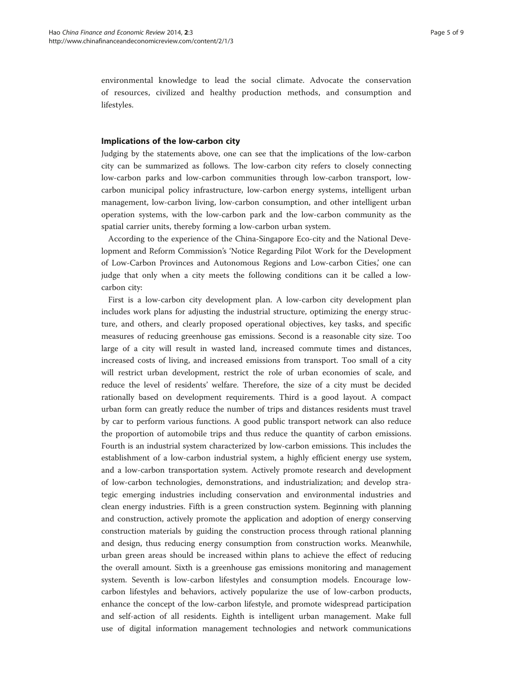environmental knowledge to lead the social climate. Advocate the conservation of resources, civilized and healthy production methods, and consumption and lifestyles.

#### Implications of the low-carbon city

Judging by the statements above, one can see that the implications of the low-carbon city can be summarized as follows. The low-carbon city refers to closely connecting low-carbon parks and low-carbon communities through low-carbon transport, lowcarbon municipal policy infrastructure, low-carbon energy systems, intelligent urban management, low-carbon living, low-carbon consumption, and other intelligent urban operation systems, with the low-carbon park and the low-carbon community as the spatial carrier units, thereby forming a low-carbon urban system.

According to the experience of the China-Singapore Eco-city and the National Development and Reform Commission's 'Notice Regarding Pilot Work for the Development of Low-Carbon Provinces and Autonomous Regions and Low-carbon Cities,' one can judge that only when a city meets the following conditions can it be called a lowcarbon city:

First is a low-carbon city development plan. A low-carbon city development plan includes work plans for adjusting the industrial structure, optimizing the energy structure, and others, and clearly proposed operational objectives, key tasks, and specific measures of reducing greenhouse gas emissions. Second is a reasonable city size. Too large of a city will result in wasted land, increased commute times and distances, increased costs of living, and increased emissions from transport. Too small of a city will restrict urban development, restrict the role of urban economies of scale, and reduce the level of residents' welfare. Therefore, the size of a city must be decided rationally based on development requirements. Third is a good layout. A compact urban form can greatly reduce the number of trips and distances residents must travel by car to perform various functions. A good public transport network can also reduce the proportion of automobile trips and thus reduce the quantity of carbon emissions. Fourth is an industrial system characterized by low-carbon emissions. This includes the establishment of a low-carbon industrial system, a highly efficient energy use system, and a low-carbon transportation system. Actively promote research and development of low-carbon technologies, demonstrations, and industrialization; and develop strategic emerging industries including conservation and environmental industries and clean energy industries. Fifth is a green construction system. Beginning with planning and construction, actively promote the application and adoption of energy conserving construction materials by guiding the construction process through rational planning and design, thus reducing energy consumption from construction works. Meanwhile, urban green areas should be increased within plans to achieve the effect of reducing the overall amount. Sixth is a greenhouse gas emissions monitoring and management system. Seventh is low-carbon lifestyles and consumption models. Encourage lowcarbon lifestyles and behaviors, actively popularize the use of low-carbon products, enhance the concept of the low-carbon lifestyle, and promote widespread participation and self-action of all residents. Eighth is intelligent urban management. Make full use of digital information management technologies and network communications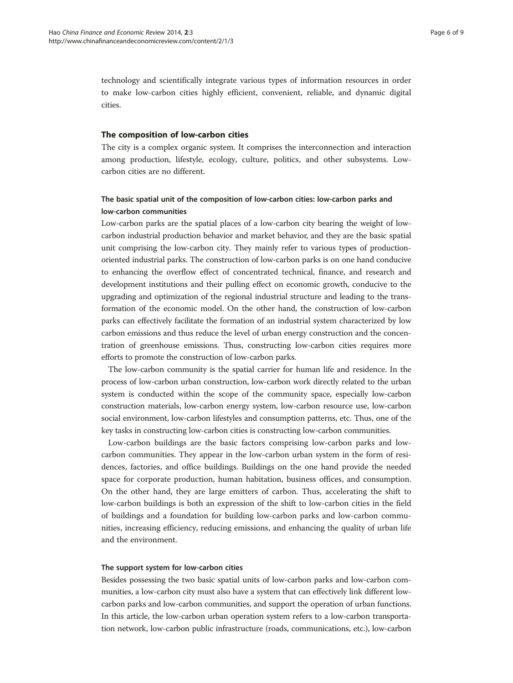technology and scientifically integrate various types of information resources in order to make low-carbon cities highly efficient, convenient, reliable, and dynamic digital cities.

#### The composition of low-carbon cities

The city is a complex organic system. It comprises the interconnection and interaction among production, lifestyle, ecology, culture, politics, and other subsystems. Lowcarbon cities are no different.

# The basic spatial unit of the composition of low-carbon cities: low-carbon parks and low-carbon communities

Low-carbon parks are the spatial places of a low-carbon city bearing the weight of lowcarbon industrial production behavior and market behavior, and they are the basic spatial unit comprising the low-carbon city. They mainly refer to various types of productionoriented industrial parks. The construction of low-carbon parks is on one hand conducive to enhancing the overflow effect of concentrated technical, finance, and research and development institutions and their pulling effect on economic growth, conducive to the upgrading and optimization of the regional industrial structure and leading to the transformation of the economic model. On the other hand, the construction of low-carbon parks can effectively facilitate the formation of an industrial system characterized by low carbon emissions and thus reduce the level of urban energy construction and the concentration of greenhouse emissions. Thus, constructing low-carbon cities requires more efforts to promote the construction of low-carbon parks.

The low-carbon community is the spatial carrier for human life and residence. In the process of low-carbon urban construction, low-carbon work directly related to the urban system is conducted within the scope of the community space, especially low-carbon construction materials, low-carbon energy system, low-carbon resource use, low-carbon social environment, low-carbon lifestyles and consumption patterns, etc. Thus, one of the key tasks in constructing low-carbon cities is constructing low-carbon communities.

Low-carbon buildings are the basic factors comprising low-carbon parks and lowcarbon communities. They appear in the low-carbon urban system in the form of residences, factories, and office buildings. Buildings on the one hand provide the needed space for corporate production, human habitation, business offices, and consumption. On the other hand, they are large emitters of carbon. Thus, accelerating the shift to low-carbon buildings is both an expression of the shift to low-carbon cities in the field of buildings and a foundation for building low-carbon parks and low-carbon communities, increasing efficiency, reducing emissions, and enhancing the quality of urban life and the environment.

#### The support system for low-carbon cities

Besides possessing the two basic spatial units of low-carbon parks and low-carbon communities, a low-carbon city must also have a system that can effectively link different lowcarbon parks and low-carbon communities, and support the operation of urban functions. In this article, the low-carbon urban operation system refers to a low-carbon transportation network, low-carbon public infrastructure (roads, communications, etc.), low-carbon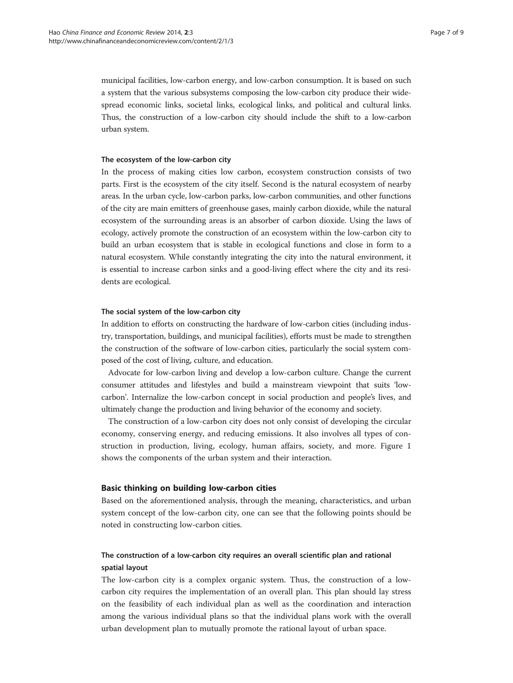municipal facilities, low-carbon energy, and low-carbon consumption. It is based on such a system that the various subsystems composing the low-carbon city produce their widespread economic links, societal links, ecological links, and political and cultural links. Thus, the construction of a low-carbon city should include the shift to a low-carbon urban system.

## The ecosystem of the low-carbon city

In the process of making cities low carbon, ecosystem construction consists of two parts. First is the ecosystem of the city itself. Second is the natural ecosystem of nearby areas. In the urban cycle, low-carbon parks, low-carbon communities, and other functions of the city are main emitters of greenhouse gases, mainly carbon dioxide, while the natural ecosystem of the surrounding areas is an absorber of carbon dioxide. Using the laws of ecology, actively promote the construction of an ecosystem within the low-carbon city to build an urban ecosystem that is stable in ecological functions and close in form to a natural ecosystem. While constantly integrating the city into the natural environment, it is essential to increase carbon sinks and a good-living effect where the city and its residents are ecological.

#### The social system of the low-carbon city

In addition to efforts on constructing the hardware of low-carbon cities (including industry, transportation, buildings, and municipal facilities), efforts must be made to strengthen the construction of the software of low-carbon cities, particularly the social system composed of the cost of living, culture, and education.

Advocate for low-carbon living and develop a low-carbon culture. Change the current consumer attitudes and lifestyles and build a mainstream viewpoint that suits 'lowcarbon'. Internalize the low-carbon concept in social production and people's lives, and ultimately change the production and living behavior of the economy and society.

The construction of a low-carbon city does not only consist of developing the circular economy, conserving energy, and reducing emissions. It also involves all types of construction in production, living, ecology, human affairs, society, and more. Figure [1](#page-7-0) shows the components of the urban system and their interaction.

#### Basic thinking on building low-carbon cities

Based on the aforementioned analysis, through the meaning, characteristics, and urban system concept of the low-carbon city, one can see that the following points should be noted in constructing low-carbon cities.

# The construction of a low-carbon city requires an overall scientific plan and rational spatial layout

The low-carbon city is a complex organic system. Thus, the construction of a lowcarbon city requires the implementation of an overall plan. This plan should lay stress on the feasibility of each individual plan as well as the coordination and interaction among the various individual plans so that the individual plans work with the overall urban development plan to mutually promote the rational layout of urban space.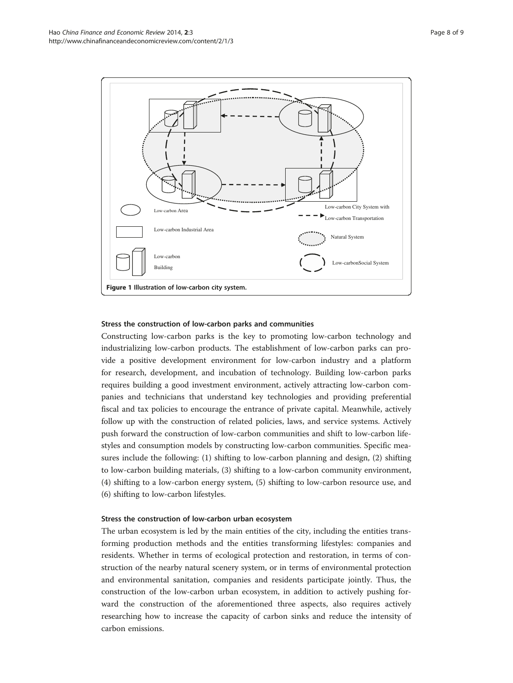<span id="page-7-0"></span>

## Stress the construction of low-carbon parks and communities

Constructing low-carbon parks is the key to promoting low-carbon technology and industrializing low-carbon products. The establishment of low-carbon parks can provide a positive development environment for low-carbon industry and a platform for research, development, and incubation of technology. Building low-carbon parks requires building a good investment environment, actively attracting low-carbon companies and technicians that understand key technologies and providing preferential fiscal and tax policies to encourage the entrance of private capital. Meanwhile, actively follow up with the construction of related policies, laws, and service systems. Actively push forward the construction of low-carbon communities and shift to low-carbon lifestyles and consumption models by constructing low-carbon communities. Specific measures include the following: (1) shifting to low-carbon planning and design, (2) shifting to low-carbon building materials, (3) shifting to a low-carbon community environment, (4) shifting to a low-carbon energy system, (5) shifting to low-carbon resource use, and (6) shifting to low-carbon lifestyles.

# Stress the construction of low-carbon urban ecosystem

The urban ecosystem is led by the main entities of the city, including the entities transforming production methods and the entities transforming lifestyles: companies and residents. Whether in terms of ecological protection and restoration, in terms of construction of the nearby natural scenery system, or in terms of environmental protection and environmental sanitation, companies and residents participate jointly. Thus, the construction of the low-carbon urban ecosystem, in addition to actively pushing forward the construction of the aforementioned three aspects, also requires actively researching how to increase the capacity of carbon sinks and reduce the intensity of carbon emissions.